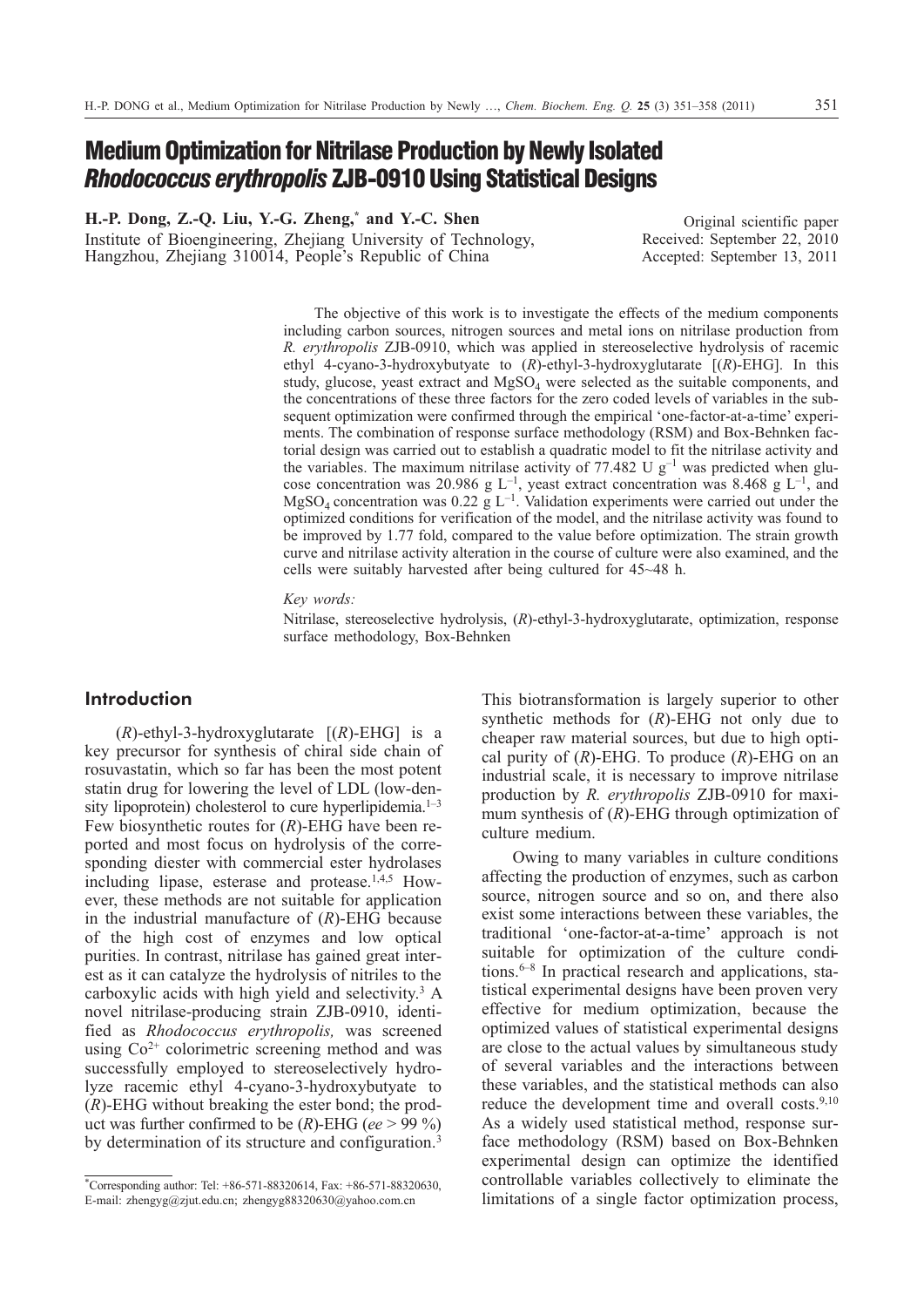**H.-P. Dong, Z.-Q. Liu, Y.-G. Zheng,\* and Y.-C. Shen** Institute of Bioengineering, Zhejiang University of Technology, Hangzhou, Zhejiang 310014, People's Republic of China

Original scientific paper Received: September 22, 2010 Accepted: September 13, 2011

The objective of this work is to investigate the effects of the medium components including carbon sources, nitrogen sources and metal ions on nitrilase production from *R. erythropolis* ZJB-0910, which was applied in stereoselective hydrolysis of racemic ethyl 4-cyano-3-hydroxybutyate to (*R*)-ethyl-3-hydroxyglutarate [(*R*)-EHG]. In this study, glucose, yeast extract and MgSO<sub>4</sub> were selected as the suitable components, and the concentrations of these three factors for the zero coded levels of variables in the subsequent optimization were confirmed through the empirical 'one-factor-at-a-time' experiments. The combination of response surface methodology (RSM) and Box-Behnken factorial design was carried out to establish a quadratic model to fit the nitrilase activity and the variables. The maximum nitrilase activity of 77.482 U  $g^{-1}$  was predicted when glucose concentration was 20.986 g  $L^{-1}$ , yeast extract concentration was 8.468 g  $L^{-1}$ , and MgSO<sub>4</sub> concentration was 0.22 g  $L^{-1}$ . Validation experiments were carried out under the optimized conditions for verification of the model, and the nitrilase activity was found to be improved by 1.77 fold, compared to the value before optimization. The strain growth curve and nitrilase activity alteration in the course of culture were also examined, and the cells were suitably harvested after being cultured for 45~48 h.

*Key words:*

Nitrilase, stereoselective hydrolysis, (*R*)-ethyl-3-hydroxyglutarate, optimization, response surface methodology, Box-Behnken

# **Introduction**

 $(R)$ -ethyl-3-hydroxyglutarate  $[(R)$ -EHG is a key precursor for synthesis of chiral side chain of rosuvastatin, which so far has been the most potent statin drug for lowering the level of LDL (low-density lipoprotein) cholesterol to cure hyperlipidemia. $1-3$ Few biosynthetic routes for (*R*)-EHG have been reported and most focus on hydrolysis of the corresponding diester with commercial ester hydrolases including lipase, esterase and protease.<sup>1,4,5</sup> However, these methods are not suitable for application in the industrial manufacture of (*R*)-EHG because of the high cost of enzymes and low optical purities. In contrast, nitrilase has gained great interest as it can catalyze the hydrolysis of nitriles to the carboxylic acids with high yield and selectivity.<sup>3</sup> A novel nitrilase-producing strain ZJB-0910, identified as *Rhodococcus erythropolis,* was screened using  $Co<sup>2+</sup>$  colorimetric screening method and was successfully employed to stereoselectively hydrolyze racemic ethyl 4-cyano-3-hydroxybutyate to (*R*)-EHG without breaking the ester bond; the product was further confirmed to be (*R*)-EHG (*ee* > 99 %) by determination of its structure and configuration.<sup>3</sup>

This biotransformation is largely superior to other synthetic methods for (*R*)-EHG not only due to cheaper raw material sources, but due to high optical purity of (*R*)-EHG. To produce (*R*)-EHG on an industrial scale, it is necessary to improve nitrilase production by *R. erythropolis* ZJB-0910 for maximum synthesis of (*R*)-EHG through optimization of culture medium.

Owing to many variables in culture conditions affecting the production of enzymes, such as carbon source, nitrogen source and so on, and there also exist some interactions between these variables, the traditional 'one-factor-at-a-time' approach is not suitable for optimization of the culture conditions.<sup> $6-8$ </sup> In practical research and applications, statistical experimental designs have been proven very effective for medium optimization, because the optimized values of statistical experimental designs are close to the actual values by simultaneous study of several variables and the interactions between these variables, and the statistical methods can also reduce the development time and overall costs.<sup>9,10</sup> As a widely used statistical method, response surface methodology (RSM) based on Box-Behnken experimental design can optimize the identified controllable variables collectively to eliminate the limitations of a single factor optimization process,

<sup>\*</sup> Corresponding author: Tel: +86-571-88320614, Fax: +86-571-88320630, E-mail: zhengyg@zjut.edu.cn; zhengyg88320630@yahoo.com.cn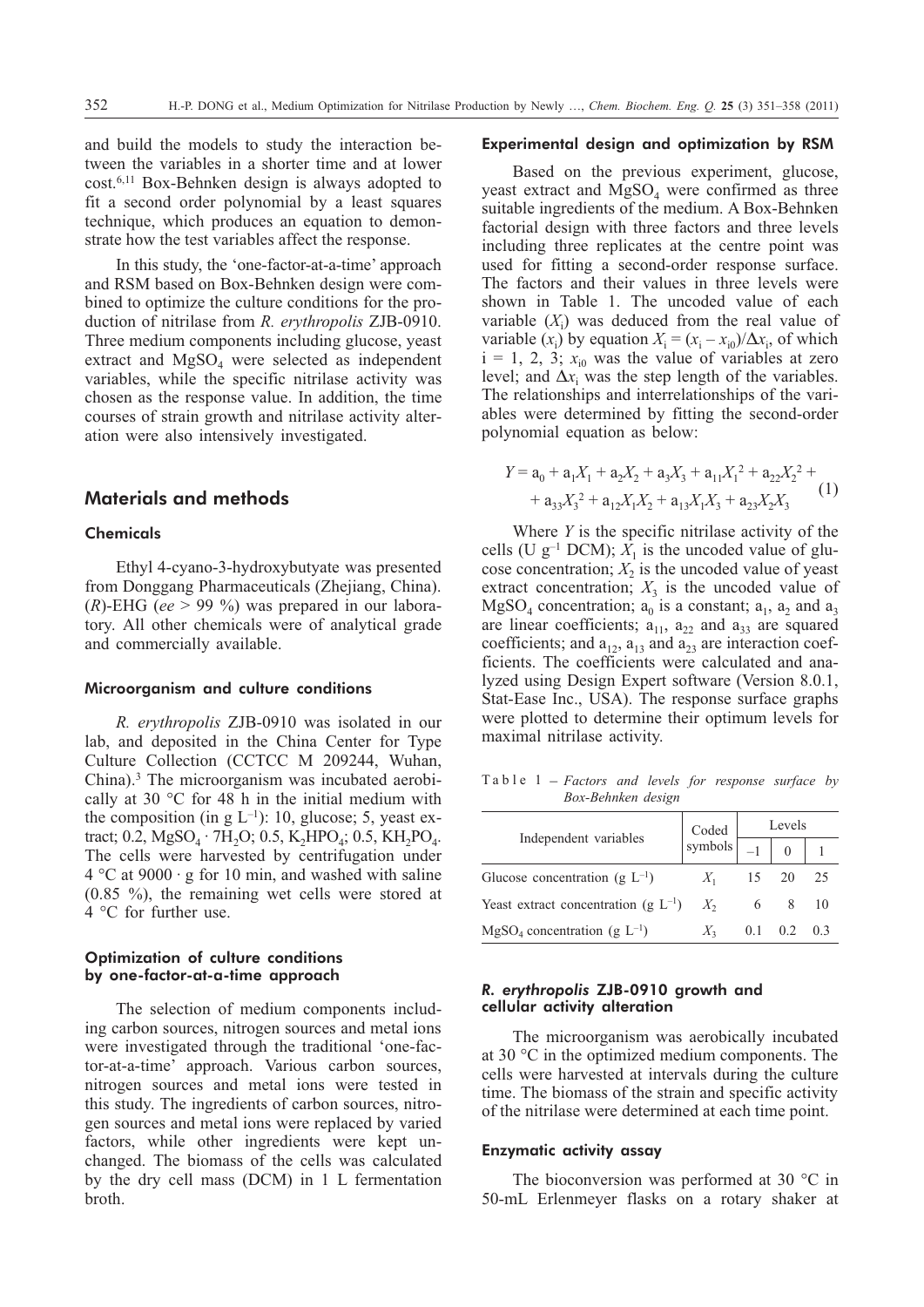and build the models to study the interaction between the variables in a shorter time and at lower cost.6,11 Box-Behnken design is always adopted to fit a second order polynomial by a least squares technique, which produces an equation to demonstrate how the test variables affect the response.

In this study, the 'one-factor-at-a-time' approach and RSM based on Box-Behnken design were combined to optimize the culture conditions for the production of nitrilase from *R. erythropolis* ZJB-0910. Three medium components including glucose, yeast extract and  $MgSO<sub>4</sub>$  were selected as independent variables, while the specific nitrilase activity was chosen as the response value. In addition, the time courses of strain growth and nitrilase activity alteration were also intensively investigated.

# **Materials and methods**

### Chemicals

Ethyl 4-cyano-3-hydroxybutyate was presented from Donggang Pharmaceuticals (Zhejiang, China). (*R*)-EHG (*ee* > 99 %) was prepared in our laboratory. All other chemicals were of analytical grade and commercially available.

#### Microorganism and culture conditions

*R. erythropolis* ZJB-0910 was isolated in our lab, and deposited in the China Center for Type Culture Collection (CCTCC M 209244, Wuhan, China).3 The microorganism was incubated aerobically at 30 °C for 48 h in the initial medium with the composition (in g  $L^{-1}$ ): 10, glucose; 5, yeast extract; 0.2,  $MgSO_4 \cdot 7H_2O$ ; 0.5,  $K_2HPO_4$ ; 0.5,  $KH_2PO_4$ . The cells were harvested by centrifugation under  $4^{\circ}$ C at 9000  $\cdot$  g for 10 min, and washed with saline (0.85 %), the remaining wet cells were stored at 4 °C for further use.

#### Optimization of culture conditions by one-factor-at-a-time approach

The selection of medium components including carbon sources, nitrogen sources and metal ions were investigated through the traditional 'one-factor-at-a-time' approach. Various carbon sources, nitrogen sources and metal ions were tested in this study. The ingredients of carbon sources, nitrogen sources and metal ions were replaced by varied factors, while other ingredients were kept unchanged. The biomass of the cells was calculated by the dry cell mass (DCM) in 1 L fermentation broth.

#### Experimental design and optimization by RSM

Based on the previous experiment, glucose, yeast extract and  $MgSO<sub>4</sub>$  were confirmed as three suitable ingredients of the medium. A Box-Behnken factorial design with three factors and three levels including three replicates at the centre point was used for fitting a second-order response surface. The factors and their values in three levels were shown in Table 1. The uncoded value of each variable  $(X_i)$  was deduced from the real value of variable  $(x_i)$  by equation  $X_i = (x_i - x_{i0})/\Delta x_i$ , of which  $i = 1, 2, 3; x_{i0}$  was the value of variables at zero level; and  $\Delta x_i$  was the step length of the variables. The relationships and interrelationships of the variables were determined by fitting the second-order polynomial equation as below:

$$
Y = a_0 + a_1X_1 + a_2X_2 + a_3X_3 + a_{11}X_1^2 + a_{22}X_2^2 +
$$
  
+ 
$$
a_{33}X_3^2 + a_{12}X_1X_2 + a_{13}X_1X_3 + a_{23}X_2X_3
$$
 (1)

Where *Y* is the specific nitrilase activity of the cells (U  $g^{-1}$  DCM);  $X_1$  is the uncoded value of glucose concentration;  $X_2$  is the uncoded value of yeast extract concentration;  $X_3$  is the uncoded value of  $MgSO_4$  concentration;  $a_0$  is a constant;  $a_1$ ,  $a_2$  and  $a_3$ are linear coefficients;  $a_{11}$ ,  $a_{22}$  and  $a_{33}$  are squared coefficients; and  $a_{12}$ ,  $a_{13}$  and  $a_{23}$  are interaction coefficients. The coefficients were calculated and analyzed using Design Expert software (Version 8.0.1, Stat-Ease Inc., USA). The response surface graphs were plotted to determine their optimum levels for maximal nitrilase activity.

Table 1 – *Factors and levels for response surface by Box-Behnken design*

|                                                 | Coded                   | Levels |     |     |
|-------------------------------------------------|-------------------------|--------|-----|-----|
| Independent variables                           | symbols $\vert$ $\vert$ |        |     |     |
| Glucose concentration (g $L^{-1}$ )             | $X_1$                   | 15     | 20  | 25  |
| Yeast extract concentration (g $L^{-1}$ ) $X_2$ |                         |        |     | 10  |
| $MgSO4 concentration (g L-1)$                   |                         | 0.1    | 0.2 | 0.3 |

### *R. erythropolis* ZJB-0910 growth and cellular activity alteration

The microorganism was aerobically incubated at 30 °C in the optimized medium components. The cells were harvested at intervals during the culture time. The biomass of the strain and specific activity of the nitrilase were determined at each time point.

#### Enzymatic activity assay

The bioconversion was performed at 30 °C in 50-mL Erlenmeyer flasks on a rotary shaker at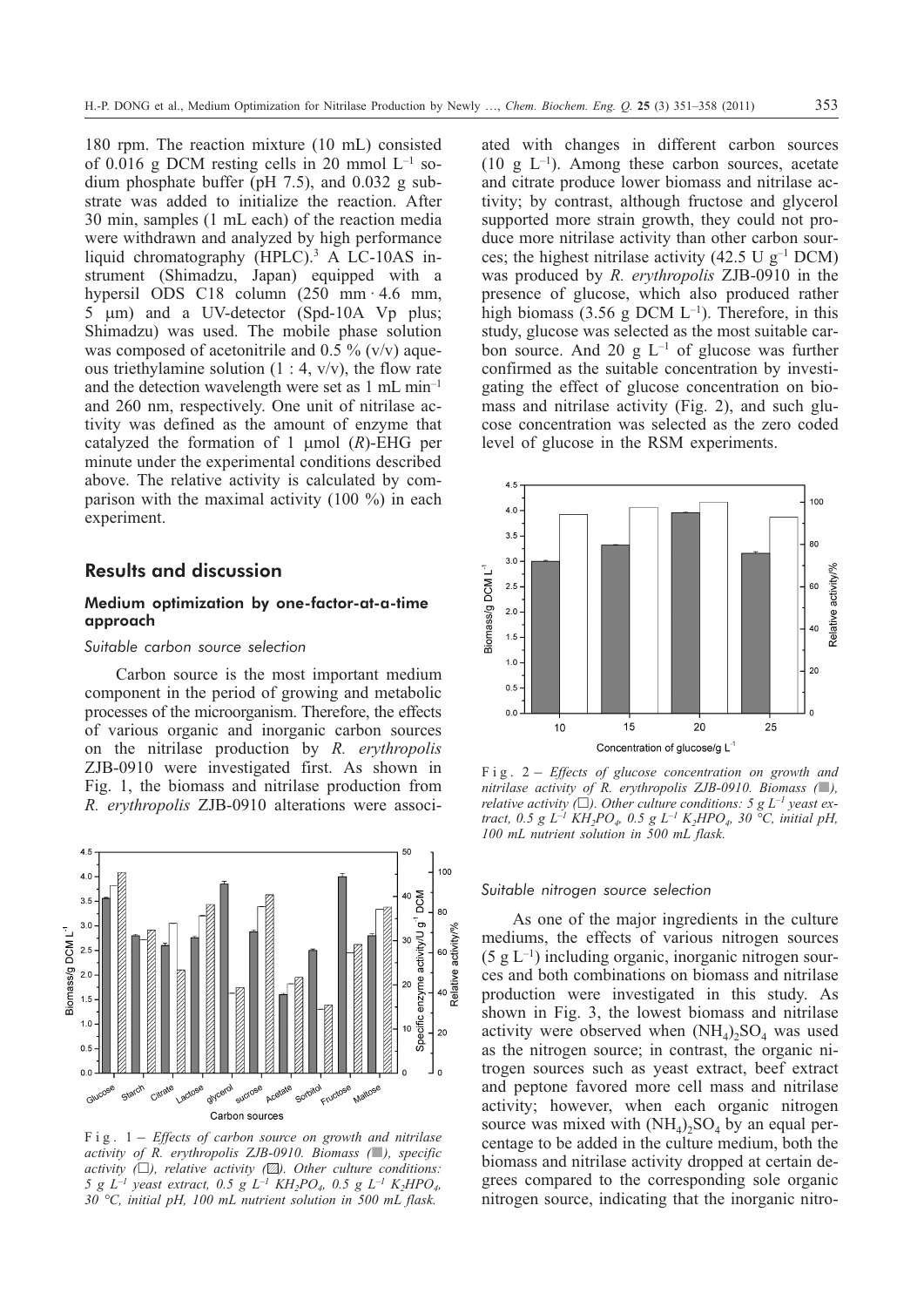180 rpm. The reaction mixture (10 mL) consisted of 0.016 g DCM resting cells in 20 mmol  $L^{-1}$  sodium phosphate buffer (pH 7.5), and 0.032 g substrate was added to initialize the reaction. After 30 min, samples (1 mL each) of the reaction media were withdrawn and analyzed by high performance liquid chromatography (HPLC).3 A LC-10AS instrument (Shimadzu, Japan) equipped with a hypersil ODS C18 column (250 mm · 4.6 mm, 5  $\mu$ m) and a UV-detector (Spd-10A Vp plus; Shimadzu) was used. The mobile phase solution was composed of acetonitrile and  $0.5\%$  (v/v) aqueous triethylamine solution  $(1:4, v/v)$ , the flow rate and the detection wavelength were set as 1 mL min–1 and 260 nm, respectively. One unit of nitrilase activity was defined as the amount of enzyme that catalyzed the formation of 1  $\mu$ mol (*R*)-EHG per minute under the experimental conditions described above. The relative activity is calculated by comparison with the maximal activity (100 %) in each experiment.

## **Results and discussion**

#### Medium optimization by one-factor-at-a-time approach

#### *Suitable carbon source selection*

Carbon source is the most important medium component in the period of growing and metabolic processes of the microorganism. Therefore, the effects of various organic and inorganic carbon sources on the nitrilase production by *R. erythropolis* ZJB-0910 were investigated first. As shown in Fig. 1, the biomass and nitrilase production from *R. erythropolis* ZJB-0910 alterations were associ-



*activity of R. erythropolis ZJB-0910. Biomass (*-*), specific activity (-), relative activity (-). Other culture conditions: 5 g*  $L^{-1}$  *yeast extract,* 0.5 g  $L^{-1}$   $KH_{2}PO_{4}$ , 0.5 g  $L^{-1}$   $K_{2}HPO_{4}$ , *30 °C, initial pH, 100 mL nutrient solution in 500 mL flask.*

ated with changes in different carbon sources (10 g  $L^{-1}$ ). Among these carbon sources, acetate and citrate produce lower biomass and nitrilase activity; by contrast, although fructose and glycerol supported more strain growth, they could not produce more nitrilase activity than other carbon sources; the highest nitrilase activity (42.5 U  $g^{-1}$  DCM) was produced by *R. erythropolis* ZJB-0910 in the presence of glucose, which also produced rather high biomass (3.56 g DCM  $L^{-1}$ ). Therefore, in this study, glucose was selected as the most suitable carbon source. And 20 g  $L^{-1}$  of glucose was further confirmed as the suitable concentration by investigating the effect of glucose concentration on biomass and nitrilase activity (Fig. 2), and such glucose concentration was selected as the zero coded level of glucose in the RSM experiments.



*nitrilase activity of R. erythropolis ZJB-0910. Biomass (*-*), relative activity*  $(\Box)$ . Other culture conditions: 5 g L<sup>-1</sup> yeast ex*tract, 0.5 g L<sup>-1</sup> KH<sub>2</sub>PO<sub>4</sub>, 0.5 g L<sup>-1</sup> K<sub>2</sub>HPO<sub>4</sub>, 30 °C, initial pH, 100 mL nutrient solution in 500 mL flask.*

#### *Suitable nitrogen source selection*

As one of the major ingredients in the culture mediums, the effects of various nitrogen sources  $(5 \text{ g } L^{-1})$  including organic, inorganic nitrogen sources and both combinations on biomass and nitrilase production were investigated in this study. As shown in Fig. 3, the lowest biomass and nitrilase activity were observed when  $(NH<sub>4</sub>)$ <sub>2</sub>SO<sub>4</sub> was used as the nitrogen source; in contrast, the organic nitrogen sources such as yeast extract, beef extract and peptone favored more cell mass and nitrilase activity; however, when each organic nitrogen source was mixed with  $(NH_4)_2SO_4$  by an equal percentage to be added in the culture medium, both the biomass and nitrilase activity dropped at certain degrees compared to the corresponding sole organic nitrogen source, indicating that the inorganic nitro-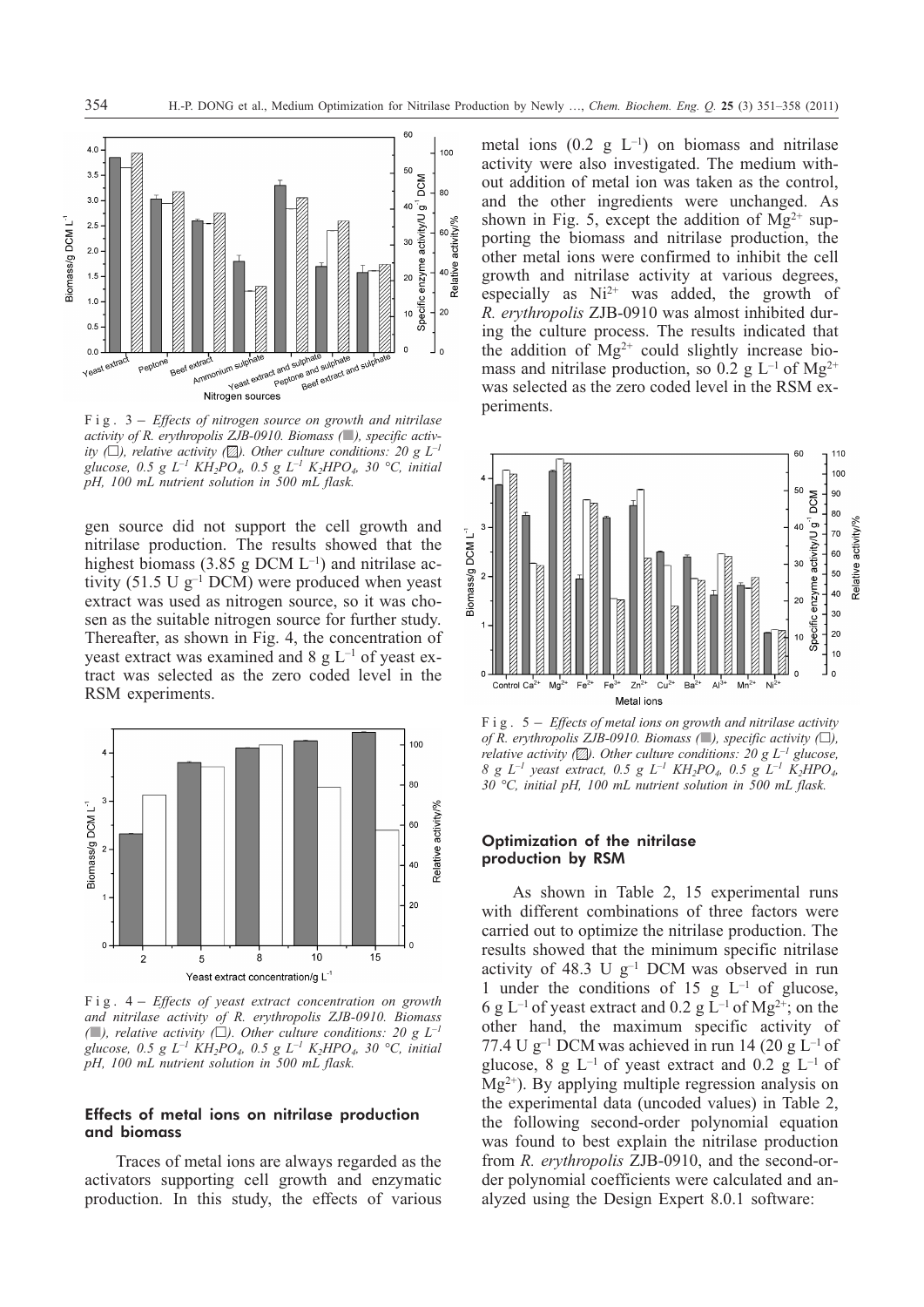

*activity of R. erythropolis ZJB-0910. Biomass (*-*), specific activity* ( $\Box$ ), relative activity ( $\Box$ ). Other culture conditions: 20 g L<sup>-1</sup> *glucose, 0.5 g L<sup>-1</sup> KH<sub>2</sub>PO<sub>4</sub>, 0.5 g L<sup>-1</sup> K<sub>2</sub>HPO<sub>4</sub>, 30 °C, initial pH, 100 mL nutrient solution in 500 mL flask.*

gen source did not support the cell growth and nitrilase production. The results showed that the highest biomass (3.85 g DCM  $L^{-1}$ ) and nitrilase activity (51.5 U  $g^{-1}$  DCM) were produced when yeast extract was used as nitrogen source, so it was chosen as the suitable nitrogen source for further study. Thereafter, as shown in Fig. 4, the concentration of yeast extract was examined and  $8 \text{ g L}^{-1}$  of yeast extract was selected as the zero coded level in the RSM experiments.



*and nitrilase activity of R. erythropolis ZJB-0910. Biomass*  $($ **)**, relative activity  $($  $\Box)$ . Other culture conditions: 20 g  $L^{-1}$ *glucose, 0.5 g L<sup>-1</sup> KH<sub>2</sub>PO<sub>4</sub>, 0.5 g L<sup>-1</sup> K<sub>2</sub>HPO<sub>4</sub>, 30 °C, initial pH, 100 mL nutrient solution in 500 mL flask.*

## Effects of metal ions on nitrilase production and biomass

Traces of metal ions are always regarded as the activators supporting cell growth and enzymatic production. In this study, the effects of various metal ions  $(0.2 \text{ g L}^{-1})$  on biomass and nitrilase activity were also investigated. The medium without addition of metal ion was taken as the control, and the other ingredients were unchanged. As shown in Fig. 5, except the addition of  $Mg^{2+}$  supporting the biomass and nitrilase production, the other metal ions were confirmed to inhibit the cell growth and nitrilase activity at various degrees, especially as Ni<sup>2+</sup> was added, the growth of *R. erythropolis* ZJB-0910 was almost inhibited during the culture process. The results indicated that the addition of  $Mg^{2+}$  could slightly increase biomass and nitrilase production, so 0.2 g  $L^{-1}$  of Mg<sup>2+</sup> was selected as the zero coded level in the RSM experiments.



*of R. erythropolis ZJB-0910. Biomass (*-*), specific activity (-), relative activity (-). Other culture conditions: 20 g L–1 glucose, 8gL–1 yeast extract, 0.5 g L–1 KH2PO4, 0.5 g L–1 K2HPO4, 30 °C, initial pH, 100 mL nutrient solution in 500 mL flask.*

### Optimization of the nitrilase production by RSM

As shown in Table 2, 15 experimental runs with different combinations of three factors were carried out to optimize the nitrilase production. The results showed that the minimum specific nitrilase activity of 48.3 U  $g^{-1}$  DCM was observed in run 1 under the conditions of 15 g  $L^{-1}$  of glucose, 6 g L<sup>-1</sup> of yeast extract and 0.2 g L<sup>-1</sup> of Mg<sup>2+</sup>; on the other hand, the maximum specific activity of 77.4 U g<sup>-1</sup> DCM was achieved in run 14 (20 g  $L^{-1}$  of glucose, 8 g  $L^{-1}$  of yeast extract and 0.2 g  $L^{-1}$  of  $Mg^{2+}$ ). By applying multiple regression analysis on the experimental data (uncoded values) in Table 2, the following second-order polynomial equation was found to best explain the nitrilase production from *R. erythropolis* ZJB-0910, and the second-order polynomial coefficients were calculated and analyzed using the Design Expert 8.0.1 software: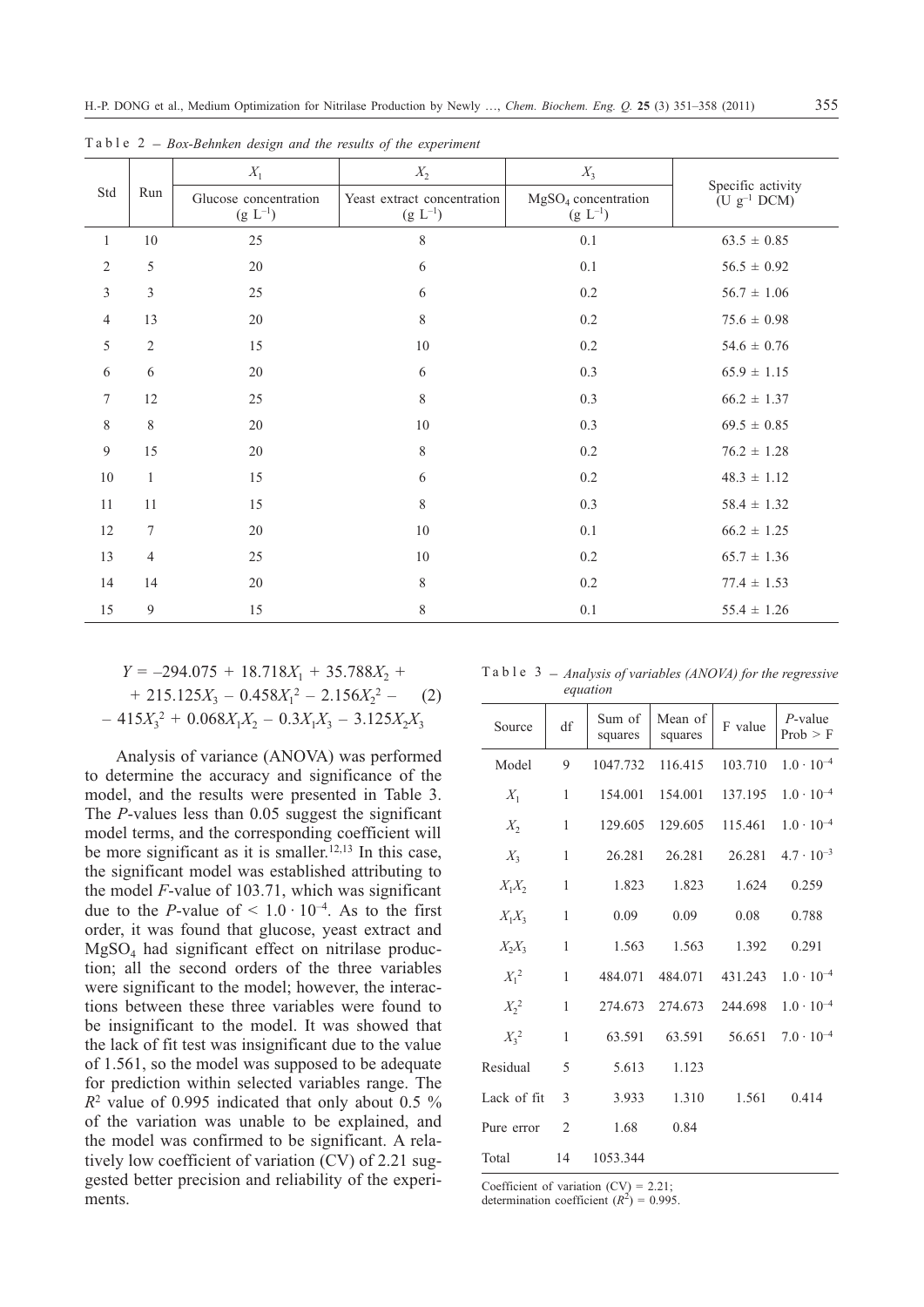| Std              | Run            | $X_1$                                 | $X_2$                                       | $X_3$                                 | Specific activity<br>$(U g^{-1} DCM)$ |  |
|------------------|----------------|---------------------------------------|---------------------------------------------|---------------------------------------|---------------------------------------|--|
|                  |                | Glucose concentration<br>$(g L^{-1})$ | Yeast extract concentration<br>$(g L^{-1})$ | $MgSO4$ concentration<br>$(g L^{-1})$ |                                       |  |
| $\mathbf{1}$     | $10\,$         | 25                                    | $8\,$                                       | 0.1                                   | $63.5 \pm 0.85$                       |  |
| $\mathfrak{2}$   | 5              | 20                                    | $\sqrt{6}$                                  | 0.1                                   | $56.5 \pm 0.92$                       |  |
| $\mathfrak{Z}$   | $\mathfrak{Z}$ | 25                                    | 6                                           | 0.2                                   | $56.7 \pm 1.06$                       |  |
| 4                | 13             | 20                                    | $\,$ 8 $\,$                                 | 0.2                                   | $75.6 \pm 0.98$                       |  |
| 5                | $\overline{2}$ | 15                                    | 10                                          | 0.2                                   | $54.6 \pm 0.76$                       |  |
| 6                | 6              | 20                                    | 6                                           | 0.3                                   | $65.9 \pm 1.15$                       |  |
| $\boldsymbol{7}$ | 12             | 25                                    | $\,$ 8 $\,$                                 | 0.3                                   | $66.2 \pm 1.37$                       |  |
| $\,$ 8 $\,$      | $8\,$          | 20                                    | $10\,$                                      | 0.3                                   | $69.5 \pm 0.85$                       |  |
| 9                | 15             | 20                                    | $\,8\,$                                     | 0.2                                   | $76.2 \pm 1.28$                       |  |
| 10               | $\mathbf{1}$   | 15                                    | 6                                           | 0.2                                   | $48.3 \pm 1.12$                       |  |
| 11               | 11             | 15                                    | 8                                           | 0.3                                   | $58.4 \pm 1.32$                       |  |
| 12               | $\tau$         | 20                                    | 10                                          | 0.1                                   | $66.2 \pm 1.25$                       |  |
| 13               | $\overline{4}$ | 25                                    | $10\,$                                      | 0.2                                   | $65.7 \pm 1.36$                       |  |
| 14               | 14             | 20                                    | $\,$ 8 $\,$                                 | 0.2                                   | $77.4 \pm 1.53$                       |  |
| 15               | $\overline{9}$ | 15                                    | $\,$ 8 $\,$                                 | 0.1                                   | $55.4 \pm 1.26$                       |  |

Table 2 – *Box-Behnken design and the results of the experiment*

$$
Y = -294.075 + 18.718X_1 + 35.788X_2 ++ 215.125X_3 - 0.458X_1^2 - 2.156X_2^2 - (2)- 415X_3^2 + 0.068X_1X_2 - 0.3X_1X_3 - 3.125X_2X_3
$$

Analysis of variance (ANOVA) was performed to determine the accuracy and significance of the model, and the results were presented in Table 3. The *P*-values less than 0.05 suggest the significant model terms, and the corresponding coefficient will be more significant as it is smaller.<sup>12,13</sup> In this case, the significant model was established attributing to the model *F*-value of 103.71, which was significant due to the *P*-value of  $\leq 1.0 \cdot 10^{-4}$ . As to the first order, it was found that glucose, yeast extract and  $MgSO<sub>4</sub>$  had significant effect on nitrilase production; all the second orders of the three variables were significant to the model; however, the interactions between these three variables were found to be insignificant to the model. It was showed that the lack of fit test was insignificant due to the value of 1.561, so the model was supposed to be adequate for prediction within selected variables range. The *R*<sup>2</sup> value of 0.995 indicated that only about 0.5 % of the variation was unable to be explained, and the model was confirmed to be significant. A relatively low coefficient of variation (CV) of 2.21 suggested better precision and reliability of the experiments.

Table 3 – *Analysis of variables (ANOVA) for the regressive equation*

| Source      | df             | Sum of<br>squares | Mean of<br>squares | F value | $P$ -value<br>Prob > F |
|-------------|----------------|-------------------|--------------------|---------|------------------------|
| Model       | 9              | 1047.732          | 116.415            | 103.710 | $1.0 \cdot 10^{-4}$    |
| $X_1$       | $\mathbf{1}$   | 154.001           | 154.001            | 137.195 | $1.0 \cdot 10^{-4}$    |
| $X_2$       | $\mathbf{1}$   | 129.605           | 129.605            | 115.461 | $1.0 \cdot 10^{-4}$    |
| $X_{3}$     | 1              | 26.281            | 26.281             | 26.281  | $4.7 \cdot 10^{-3}$    |
| $X_1X_2$    | 1              | 1.823             | 1.823              | 1.624   | 0.259                  |
| $X_1X_3$    | 1              | 0.09              | 0.09               | 0.08    | 0.788                  |
| $X_2X_3$    | $\mathbf{1}$   | 1.563             | 1.563              | 1.392   | 0.291                  |
| $X_1^2$     | $\mathbf{1}$   | 484.071           | 484.071            | 431.243 | $1.0 \cdot 10^{-4}$    |
| $X_2^2$     | $\mathbf{1}$   |                   | 274.673 274.673    | 244.698 | $1.0 \cdot 10^{-4}$    |
| $X_3^2$     | 1              | 63.591            | 63.591             | 56.651  | $7.0 \cdot 10^{-4}$    |
| Residual    | 5              | 5.613             | 1.123              |         |                        |
| Lack of fit | 3              | 3.933             | 1.310              | 1.561   | 0.414                  |
| Pure error  | $\overline{2}$ | 1.68              | 0.84               |         |                        |
| Total       | 14             | 1053.344          |                    |         |                        |

Coefficient of variation  $(CV) = 2.21$ ;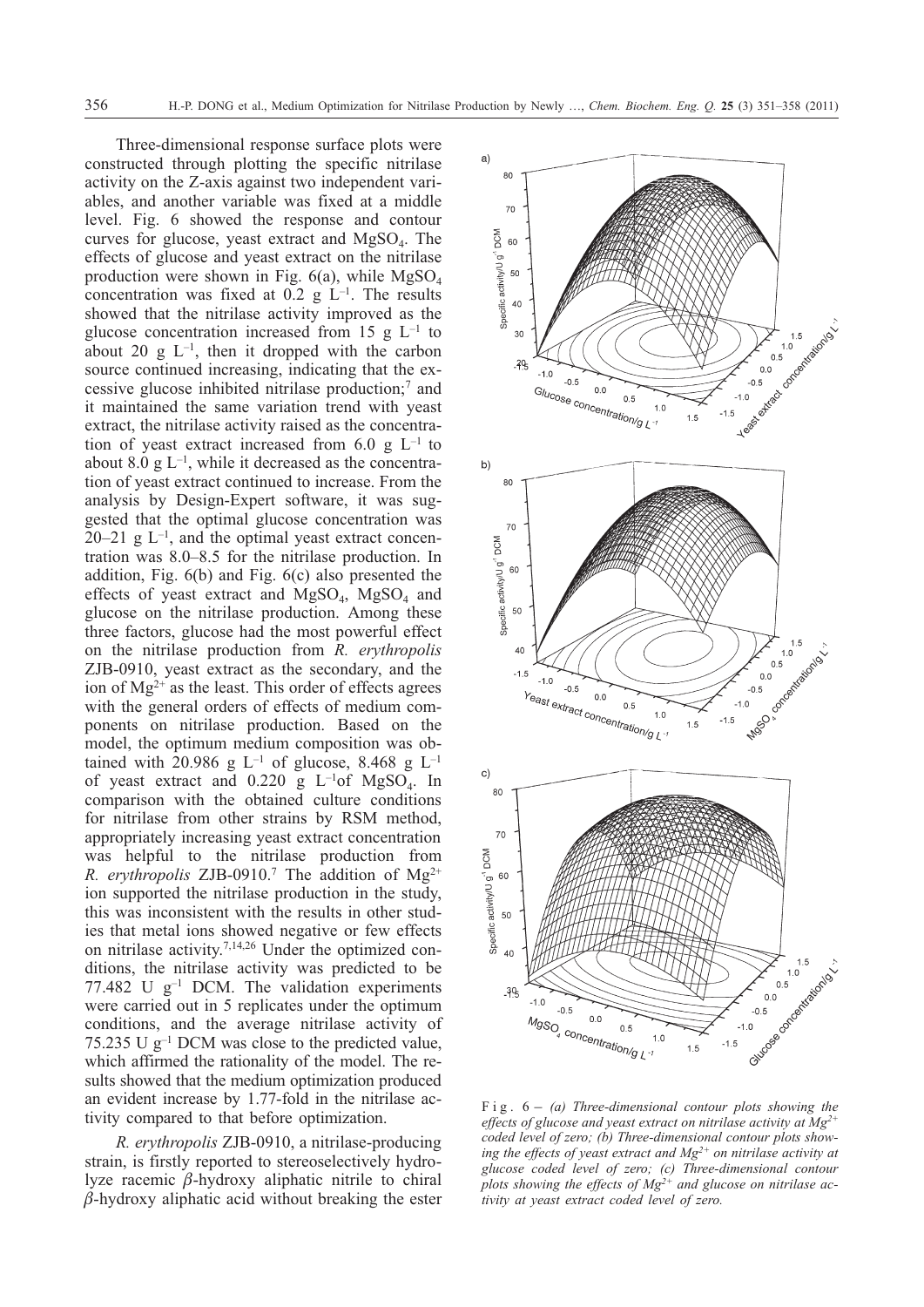Three-dimensional response surface plots were constructed through plotting the specific nitrilase activity on the Z-axis against two independent variables, and another variable was fixed at a middle level. Fig. 6 showed the response and contour curves for glucose, yeast extract and  $MgSO<sub>4</sub>$ . The effects of glucose and yeast extract on the nitrilase production were shown in Fig.  $6(a)$ , while MgSO<sub>4</sub> concentration was fixed at  $0.2$  g L<sup>-1</sup>. The results showed that the nitrilase activity improved as the glucose concentration increased from 15 g  $L^{-1}$  to about 20 g  $L^{-1}$ , then it dropped with the carbon source continued increasing, indicating that the excessive glucose inhibited nitrilase production;7 and it maintained the same variation trend with yeast extract, the nitrilase activity raised as the concentration of yeast extract increased from 6.0 g  $L^{-1}$  to about 8.0 g  $L^{-1}$ , while it decreased as the concentration of yeast extract continued to increase. From the analysis by Design-Expert software, it was suggested that the optimal glucose concentration was  $20-21$  g  $L^{-1}$ , and the optimal yeast extract concentration was 8.0–8.5 for the nitrilase production. In addition, Fig. 6(b) and Fig. 6(c) also presented the effects of yeast extract and  $MgSO<sub>4</sub>$ ,  $MgSO<sub>4</sub>$  and glucose on the nitrilase production. Among these three factors, glucose had the most powerful effect on the nitrilase production from *R. erythropolis* ZJB-0910, yeast extract as the secondary, and the ion of  $Mg^{2+}$  as the least. This order of effects agrees with the general orders of effects of medium components on nitrilase production. Based on the model, the optimum medium composition was obtained with 20.986 g  $L^{-1}$  of glucose, 8.468 g  $L^{-1}$ of yeast extract and  $0.220 \text{ g L}^{-1}$ of MgSO<sub>4</sub>. In comparison with the obtained culture conditions for nitrilase from other strains by RSM method, appropriately increasing yeast extract concentration was helpful to the nitrilase production from *R. erythropolis* ZJB-0910.<sup>7</sup> The addition of  $Mg^{2+}$ ion supported the nitrilase production in the study, this was inconsistent with the results in other studies that metal ions showed negative or few effects on nitrilase activity.7,14,26 Under the optimized conditions, the nitrilase activity was predicted to be 77.482 U  $g^{-1}$  DCM. The validation experiments were carried out in 5 replicates under the optimum conditions, and the average nitrilase activity of 75.235 U g–1 DCM was close to the predicted value, which affirmed the rationality of the model. The results showed that the medium optimization produced an evident increase by 1.77-fold in the nitrilase activity compared to that before optimization.

*R. erythropolis* ZJB-0910, a nitrilase-producing strain, is firstly reported to stereoselectively hydrolyze racemic  $\beta$ -hydroxy aliphatic nitrile to chiral  $\beta$ -hydroxy aliphatic acid without breaking the ester



*effects of glucose and yeast extract on nitrilase activity at Mg2+ coded level of zero; (b) Three-dimensional contour plots showing the effects of yeast extract and Mg2+ on nitrilase activity at glucose coded level of zero; (c) Three-dimensional contour plots showing the effects of Mg2+ and glucose on nitrilase activity at yeast extract coded level of zero.*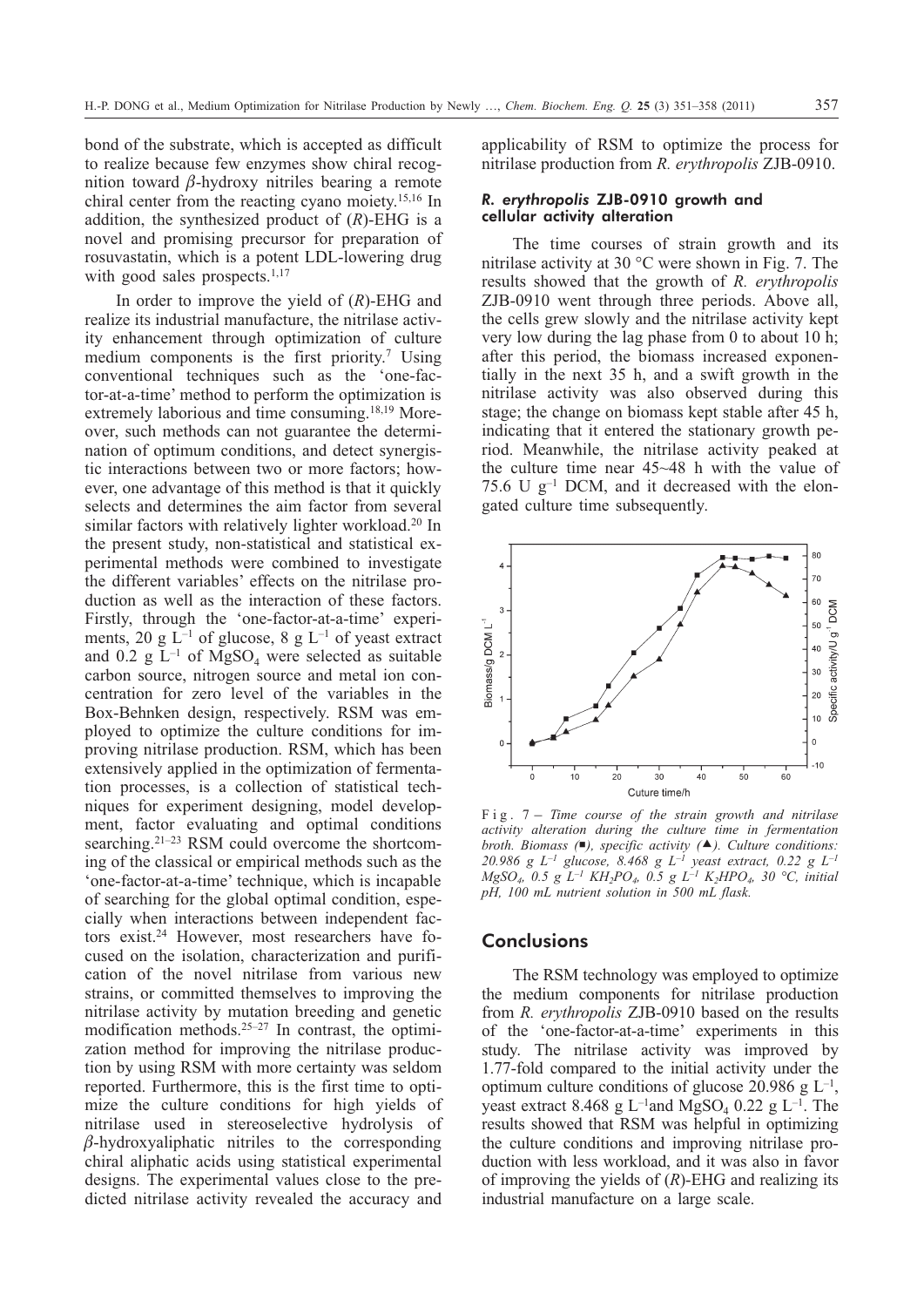bond of the substrate, which is accepted as difficult to realize because few enzymes show chiral recognition toward  $\beta$ -hydroxy nitriles bearing a remote chiral center from the reacting cyano moiety.15,16 In addition, the synthesized product of (*R*)-EHG is a novel and promising precursor for preparation of rosuvastatin, which is a potent LDL-lowering drug with good sales prospects.<sup>1,17</sup>

In order to improve the yield of (*R*)-EHG and realize its industrial manufacture, the nitrilase activity enhancement through optimization of culture medium components is the first priority.7 Using conventional techniques such as the 'one-factor-at-a-time' method to perform the optimization is extremely laborious and time consuming.<sup>18,19</sup> Moreover, such methods can not guarantee the determination of optimum conditions, and detect synergistic interactions between two or more factors; however, one advantage of this method is that it quickly selects and determines the aim factor from several similar factors with relatively lighter workload.<sup>20</sup> In the present study, non-statistical and statistical experimental methods were combined to investigate the different variables' effects on the nitrilase production as well as the interaction of these factors. Firstly, through the 'one-factor-at-a-time' experiments, 20 g  $L^{-1}$  of glucose, 8 g  $L^{-1}$  of yeast extract and 0.2 g  $L^{-1}$  of MgSO<sub>4</sub> were selected as suitable carbon source, nitrogen source and metal ion concentration for zero level of the variables in the Box-Behnken design, respectively. RSM was employed to optimize the culture conditions for improving nitrilase production. RSM, which has been extensively applied in the optimization of fermentation processes, is a collection of statistical techniques for experiment designing, model development, factor evaluating and optimal conditions searching.<sup>21–23</sup> RSM could overcome the shortcoming of the classical or empirical methods such as the 'one-factor-at-a-time' technique, which is incapable of searching for the global optimal condition, especially when interactions between independent factors exist.24 However, most researchers have focused on the isolation, characterization and purification of the novel nitrilase from various new strains, or committed themselves to improving the nitrilase activity by mutation breeding and genetic modification methods.<sup>25–27</sup> In contrast, the optimization method for improving the nitrilase production by using RSM with more certainty was seldom reported. Furthermore, this is the first time to optimize the culture conditions for high yields of nitrilase used in stereoselective hydrolysis of  $\beta$ -hydroxyaliphatic nitriles to the corresponding chiral aliphatic acids using statistical experimental designs. The experimental values close to the predicted nitrilase activity revealed the accuracy and

applicability of RSM to optimize the process for nitrilase production from *R. erythropolis* ZJB-0910.

## *R. erythropolis* ZJB-0910 growth and cellular activity alteration

The time courses of strain growth and its nitrilase activity at 30 °C were shown in Fig. 7. The results showed that the growth of *R. erythropolis* ZJB-0910 went through three periods. Above all, the cells grew slowly and the nitrilase activity kept very low during the lag phase from 0 to about 10 h; after this period, the biomass increased exponentially in the next 35 h, and a swift growth in the nitrilase activity was also observed during this stage; the change on biomass kept stable after 45 h, indicating that it entered the stationary growth period. Meanwhile, the nitrilase activity peaked at the culture time near 45~48 h with the value of 75.6 U  $g^{-1}$  DCM, and it decreased with the elongated culture time subsequently.



*activity alteration during the culture time in fermentation broth. Biomass (), specific activity (-). Culture conditions: 20.986 g L–1 glucose, 8.468 g L–1 yeast extract, 0.22 g L–1 MgSO4, 0.5 g L–1 KH2PO4, 0.5 g L–1 K2HPO4, 30 °C, initial pH, 100 mL nutrient solution in 500 mL flask.*

# **Conclusions**

The RSM technology was employed to optimize the medium components for nitrilase production from *R. erythropolis* ZJB-0910 based on the results of the 'one-factor-at-a-time' experiments in this study. The nitrilase activity was improved by 1.77-fold compared to the initial activity under the optimum culture conditions of glucose 20.986 g  $L^{-1}$ , yeast extract 8.468 g L<sup>-1</sup>and MgSO<sub>4</sub> 0.22 g L<sup>-1</sup>. The results showed that RSM was helpful in optimizing the culture conditions and improving nitrilase production with less workload, and it was also in favor of improving the yields of (*R*)-EHG and realizing its industrial manufacture on a large scale.